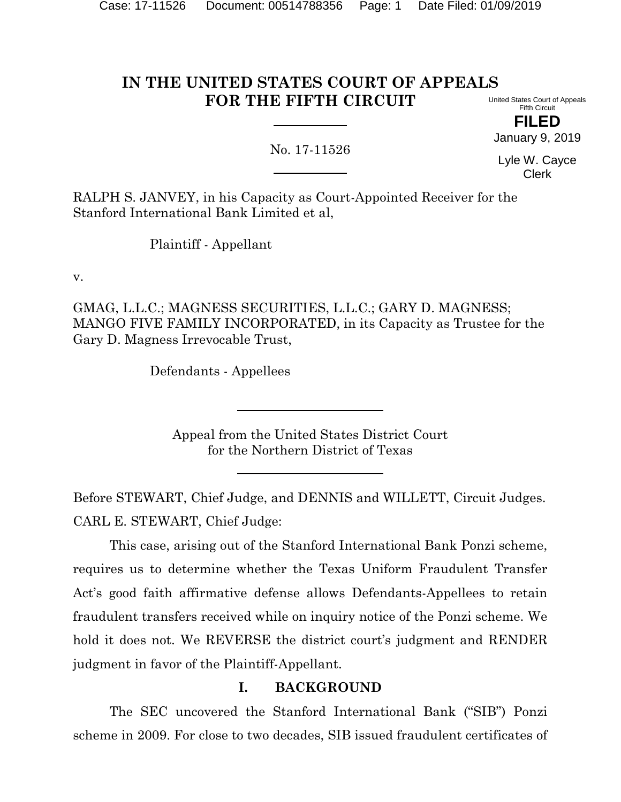# **IN THE UNITED STATES COURT OF APPEALS FOR THE FIFTH CIRCUIT**

United States Court of Appeals Fifth Circuit

**FILED** January 9, 2019

No. 17-11526

Lyle W. Cayce Clerk

RALPH S. JANVEY, in his Capacity as Court-Appointed Receiver for the Stanford International Bank Limited et al,

Plaintiff - Appellant

v.

GMAG, L.L.C.; MAGNESS SECURITIES, L.L.C.; GARY D. MAGNESS; MANGO FIVE FAMILY INCORPORATED, in its Capacity as Trustee for the Gary D. Magness Irrevocable Trust,

Defendants - Appellees

Appeal from the United States District Court for the Northern District of Texas

Before STEWART, Chief Judge, and DENNIS and WILLETT, Circuit Judges. CARL E. STEWART, Chief Judge:

This case, arising out of the Stanford International Bank Ponzi scheme, requires us to determine whether the Texas Uniform Fraudulent Transfer Act's good faith affirmative defense allows Defendants-Appellees to retain fraudulent transfers received while on inquiry notice of the Ponzi scheme. We hold it does not. We REVERSE the district court's judgment and RENDER judgment in favor of the Plaintiff-Appellant.

# **I. BACKGROUND**

The SEC uncovered the Stanford International Bank ("SIB") Ponzi scheme in 2009. For close to two decades, SIB issued fraudulent certificates of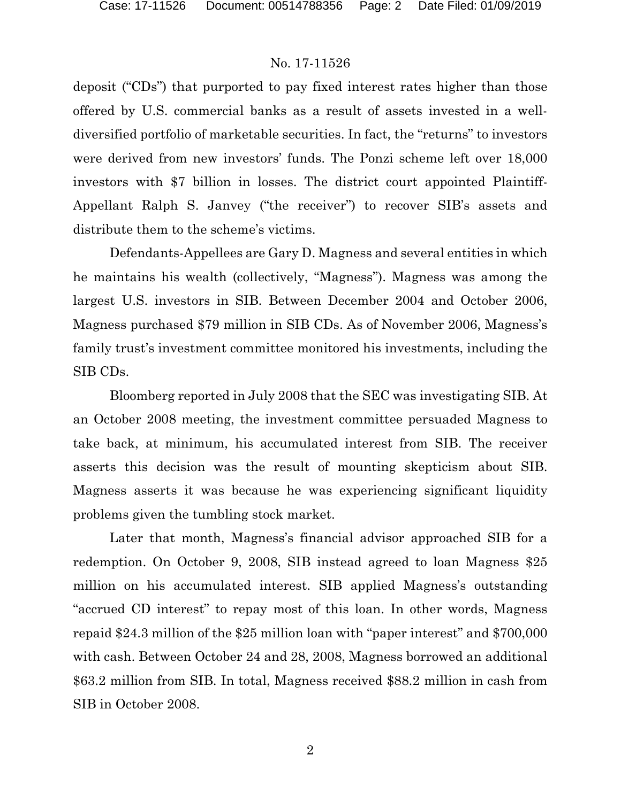deposit ("CDs") that purported to pay fixed interest rates higher than those offered by U.S. commercial banks as a result of assets invested in a welldiversified portfolio of marketable securities. In fact, the "returns" to investors were derived from new investors' funds. The Ponzi scheme left over 18,000 investors with \$7 billion in losses. The district court appointed Plaintiff-Appellant Ralph S. Janvey ("the receiver") to recover SIB's assets and distribute them to the scheme's victims.

Defendants-Appellees are Gary D. Magness and several entities in which he maintains his wealth (collectively, "Magness"). Magness was among the largest U.S. investors in SIB. Between December 2004 and October 2006, Magness purchased \$79 million in SIB CDs. As of November 2006, Magness's family trust's investment committee monitored his investments, including the SIB CDs.

Bloomberg reported in July 2008 that the SEC was investigating SIB. At an October 2008 meeting, the investment committee persuaded Magness to take back, at minimum, his accumulated interest from SIB. The receiver asserts this decision was the result of mounting skepticism about SIB. Magness asserts it was because he was experiencing significant liquidity problems given the tumbling stock market.

Later that month, Magness's financial advisor approached SIB for a redemption. On October 9, 2008, SIB instead agreed to loan Magness \$25 million on his accumulated interest. SIB applied Magness's outstanding "accrued CD interest" to repay most of this loan. In other words, Magness repaid \$24.3 million of the \$25 million loan with "paper interest" and \$700,000 with cash. Between October 24 and 28, 2008, Magness borrowed an additional \$63.2 million from SIB. In total, Magness received \$88.2 million in cash from SIB in October 2008.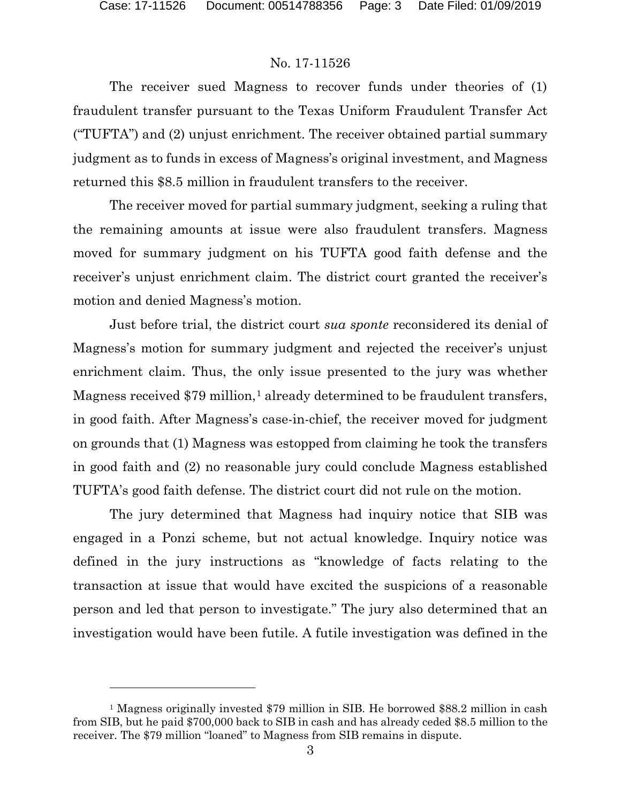$\overline{a}$ 

## No. 17-11526

The receiver sued Magness to recover funds under theories of (1) fraudulent transfer pursuant to the Texas Uniform Fraudulent Transfer Act ("TUFTA") and (2) unjust enrichment. The receiver obtained partial summary judgment as to funds in excess of Magness's original investment, and Magness returned this \$8.5 million in fraudulent transfers to the receiver.

The receiver moved for partial summary judgment, seeking a ruling that the remaining amounts at issue were also fraudulent transfers. Magness moved for summary judgment on his TUFTA good faith defense and the receiver's unjust enrichment claim. The district court granted the receiver's motion and denied Magness's motion.

Just before trial, the district court *sua sponte* reconsidered its denial of Magness's motion for summary judgment and rejected the receiver's unjust enrichment claim. Thus, the only issue presented to the jury was whether Magness received \$79 million,<sup>[1](#page-2-0)</sup> already determined to be fraudulent transfers, in good faith. After Magness's case-in-chief, the receiver moved for judgment on grounds that (1) Magness was estopped from claiming he took the transfers in good faith and (2) no reasonable jury could conclude Magness established TUFTA's good faith defense. The district court did not rule on the motion.

The jury determined that Magness had inquiry notice that SIB was engaged in a Ponzi scheme, but not actual knowledge. Inquiry notice was defined in the jury instructions as "knowledge of facts relating to the transaction at issue that would have excited the suspicions of a reasonable person and led that person to investigate." The jury also determined that an investigation would have been futile. A futile investigation was defined in the

<span id="page-2-0"></span><sup>1</sup> Magness originally invested \$79 million in SIB. He borrowed \$88.2 million in cash from SIB, but he paid \$700,000 back to SIB in cash and has already ceded \$8.5 million to the receiver. The \$79 million "loaned" to Magness from SIB remains in dispute.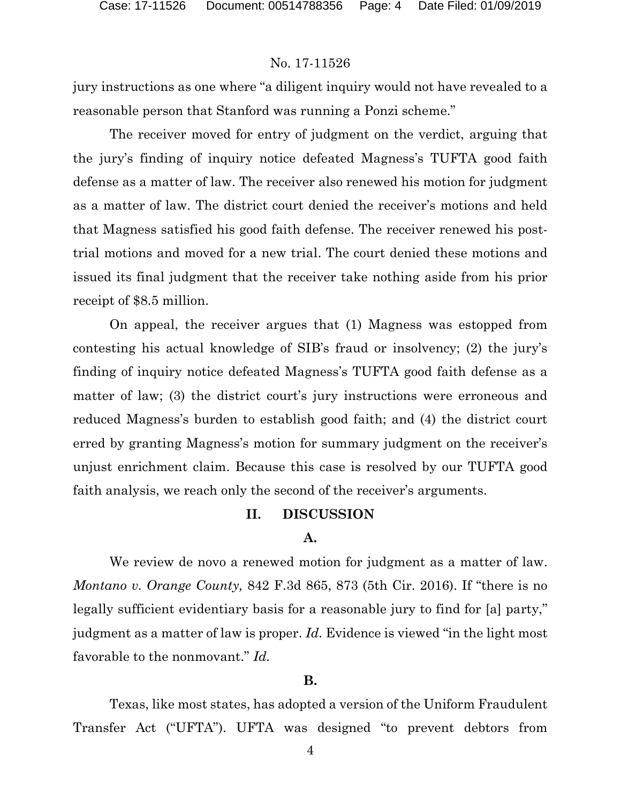jury instructions as one where "a diligent inquiry would not have revealed to a reasonable person that Stanford was running a Ponzi scheme."

The receiver moved for entry of judgment on the verdict, arguing that the jury's finding of inquiry notice defeated Magness's TUFTA good faith defense as a matter of law. The receiver also renewed his motion for judgment as a matter of law. The district court denied the receiver's motions and held that Magness satisfied his good faith defense. The receiver renewed his posttrial motions and moved for a new trial. The court denied these motions and issued its final judgment that the receiver take nothing aside from his prior receipt of \$8.5 million.

On appeal, the receiver argues that (1) Magness was estopped from contesting his actual knowledge of SIB's fraud or insolvency; (2) the jury's finding of inquiry notice defeated Magness's TUFTA good faith defense as a matter of law; (3) the district court's jury instructions were erroneous and reduced Magness's burden to establish good faith; and (4) the district court erred by granting Magness's motion for summary judgment on the receiver's unjust enrichment claim. Because this case is resolved by our TUFTA good faith analysis, we reach only the second of the receiver's arguments.

# **II. DISCUSSION**

## **A.**

We review de novo a renewed motion for judgment as a matter of law. *Montano v. Orange County,* 842 F.3d 865, 873 (5th Cir. 2016). If "there is no legally sufficient evidentiary basis for a reasonable jury to find for [a] party," judgment as a matter of law is proper. *Id.* Evidence is viewed "in the light most favorable to the nonmovant." *Id.*

#### **B.**

Texas, like most states, has adopted a version of the Uniform Fraudulent Transfer Act ("UFTA"). UFTA was designed "to prevent debtors from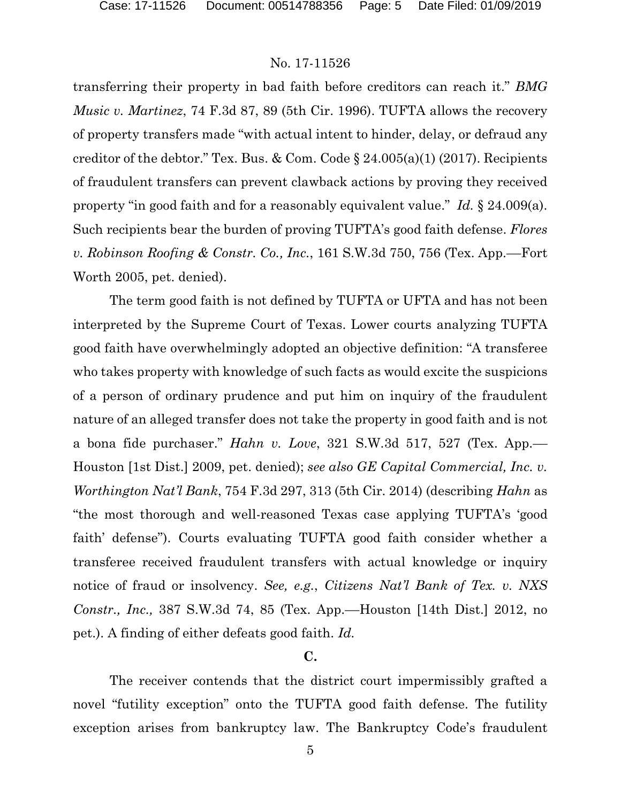transferring their property in bad faith before creditors can reach it." *BMG Music v. Martinez*, 74 F.3d 87, 89 (5th Cir. 1996). TUFTA allows the recovery of property transfers made "with actual intent to hinder, delay, or defraud any creditor of the debtor." Tex. Bus. & Com. Code  $\S 24.005(a)(1)$  (2017). Recipients of fraudulent transfers can prevent clawback actions by proving they received property "in good faith and for a reasonably equivalent value." *Id.* § 24.009(a). Such recipients bear the burden of proving TUFTA's good faith defense. *Flores v. Robinson Roofing & Constr. Co., Inc.*, 161 S.W.3d 750, 756 (Tex. App.––Fort Worth 2005, pet. denied).

The term good faith is not defined by TUFTA or UFTA and has not been interpreted by the Supreme Court of Texas. Lower courts analyzing TUFTA good faith have overwhelmingly adopted an objective definition: "A transferee who takes property with knowledge of such facts as would excite the suspicions of a person of ordinary prudence and put him on inquiry of the fraudulent nature of an alleged transfer does not take the property in good faith and is not a bona fide purchaser." *Hahn v. Love*, 321 S.W.3d 517, 527 (Tex. App.–– Houston [1st Dist.] 2009, pet. denied); *see also GE Capital Commercial, Inc. v. Worthington Nat'l Bank*, 754 F.3d 297, 313 (5th Cir. 2014) (describing *Hahn* as "the most thorough and well-reasoned Texas case applying TUFTA's 'good faith' defense"). Courts evaluating TUFTA good faith consider whether a transferee received fraudulent transfers with actual knowledge or inquiry notice of fraud or insolvency. *See, e.g.*, *Citizens Nat'l Bank of Tex. v. NXS Constr., Inc.,* 387 S.W.3d 74, 85 (Tex. App.––Houston [14th Dist.] 2012, no pet.). A finding of either defeats good faith. *Id.*

# **C.**

The receiver contends that the district court impermissibly grafted a novel "futility exception" onto the TUFTA good faith defense. The futility exception arises from bankruptcy law. The Bankruptcy Code's fraudulent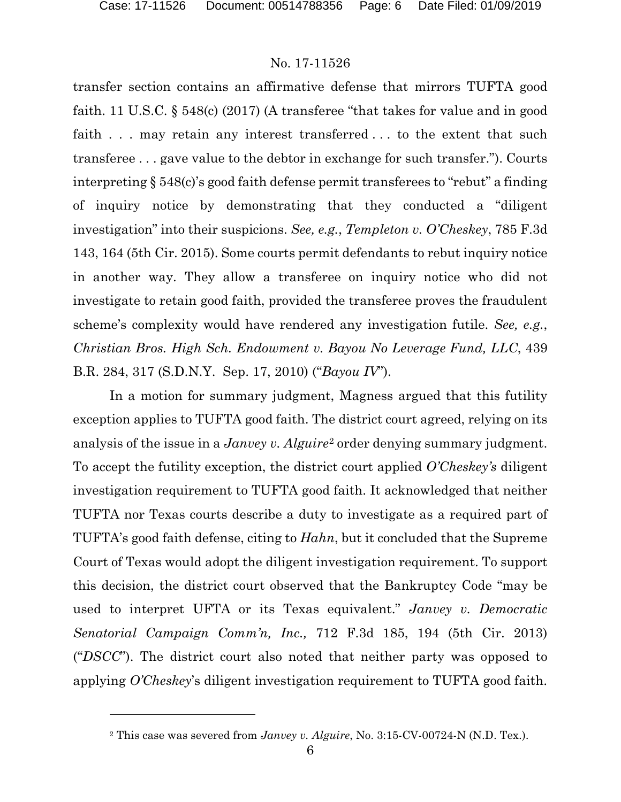l

# No. 17-11526

transfer section contains an affirmative defense that mirrors TUFTA good faith. 11 U.S.C. § 548(c) (2017) (A transferee "that takes for value and in good faith . . . may retain any interest transferred . . . to the extent that such transferee . . . gave value to the debtor in exchange for such transfer."). Courts interpreting § 548(c)'s good faith defense permit transferees to "rebut" a finding of inquiry notice by demonstrating that they conducted a "diligent investigation" into their suspicions. *See, e.g.*, *Templeton v. O'Cheskey*, 785 F.3d 143, 164 (5th Cir. 2015). Some courts permit defendants to rebut inquiry notice in another way. They allow a transferee on inquiry notice who did not investigate to retain good faith, provided the transferee proves the fraudulent scheme's complexity would have rendered any investigation futile. *See, e.g.*, *Christian Bros. High Sch. Endowment v. Bayou No Leverage Fund, LLC*, 439 B.R. 284, 317 (S.D.N.Y. Sep. 17, 2010) ("*Bayou IV*").

In a motion for summary judgment, Magness argued that this futility exception applies to TUFTA good faith. The district court agreed, relying on its analysis of the issue in a *Janvey v. Alguire*[2](#page-5-0) order denying summary judgment. To accept the futility exception, the district court applied *O'Cheskey's* diligent investigation requirement to TUFTA good faith. It acknowledged that neither TUFTA nor Texas courts describe a duty to investigate as a required part of TUFTA's good faith defense, citing to *Hahn*, but it concluded that the Supreme Court of Texas would adopt the diligent investigation requirement. To support this decision, the district court observed that the Bankruptcy Code "may be used to interpret UFTA or its Texas equivalent." *Janvey v. Democratic Senatorial Campaign Comm'n, Inc.,* 712 F.3d 185, 194 (5th Cir. 2013) ("*DSCC*"). The district court also noted that neither party was opposed to applying *O'Cheskey*'s diligent investigation requirement to TUFTA good faith.

<span id="page-5-0"></span><sup>2</sup> This case was severed from *Janvey v. Alguire*, No. 3:15-CV-00724-N (N.D. Tex.).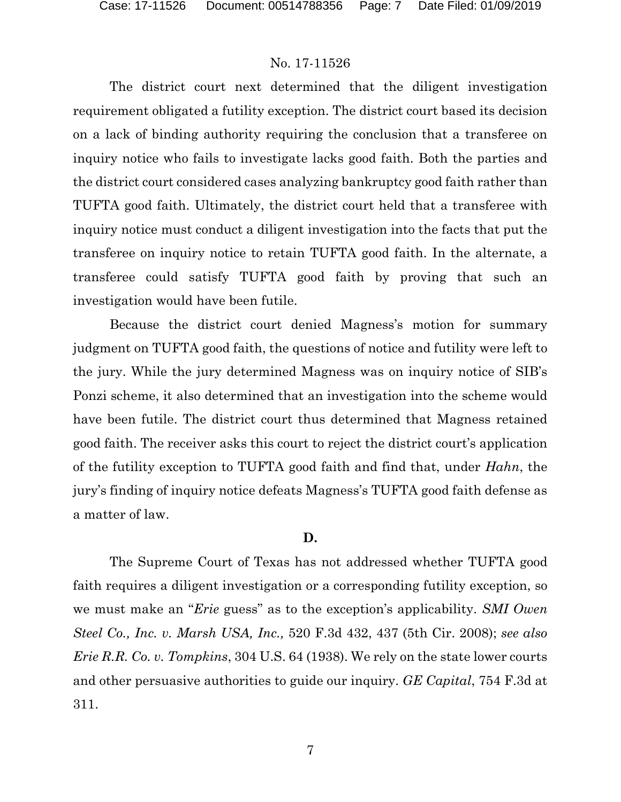The district court next determined that the diligent investigation requirement obligated a futility exception. The district court based its decision on a lack of binding authority requiring the conclusion that a transferee on inquiry notice who fails to investigate lacks good faith. Both the parties and the district court considered cases analyzing bankruptcy good faith rather than TUFTA good faith. Ultimately, the district court held that a transferee with inquiry notice must conduct a diligent investigation into the facts that put the transferee on inquiry notice to retain TUFTA good faith. In the alternate, a transferee could satisfy TUFTA good faith by proving that such an investigation would have been futile.

Because the district court denied Magness's motion for summary judgment on TUFTA good faith, the questions of notice and futility were left to the jury. While the jury determined Magness was on inquiry notice of SIB's Ponzi scheme, it also determined that an investigation into the scheme would have been futile. The district court thus determined that Magness retained good faith. The receiver asks this court to reject the district court's application of the futility exception to TUFTA good faith and find that, under *Hahn*, the jury's finding of inquiry notice defeats Magness's TUFTA good faith defense as a matter of law.

## **D.**

The Supreme Court of Texas has not addressed whether TUFTA good faith requires a diligent investigation or a corresponding futility exception, so we must make an "*Erie* guess" as to the exception's applicability. *SMI Owen Steel Co., Inc. v. Marsh USA, Inc.,* 520 F.3d 432, 437 (5th Cir. 2008); *see also Erie R.R. Co. v. Tompkins*, 304 U.S. 64 (1938). We rely on the state lower courts and other persuasive authorities to guide our inquiry. *GE Capital*, 754 F.3d at 311.

7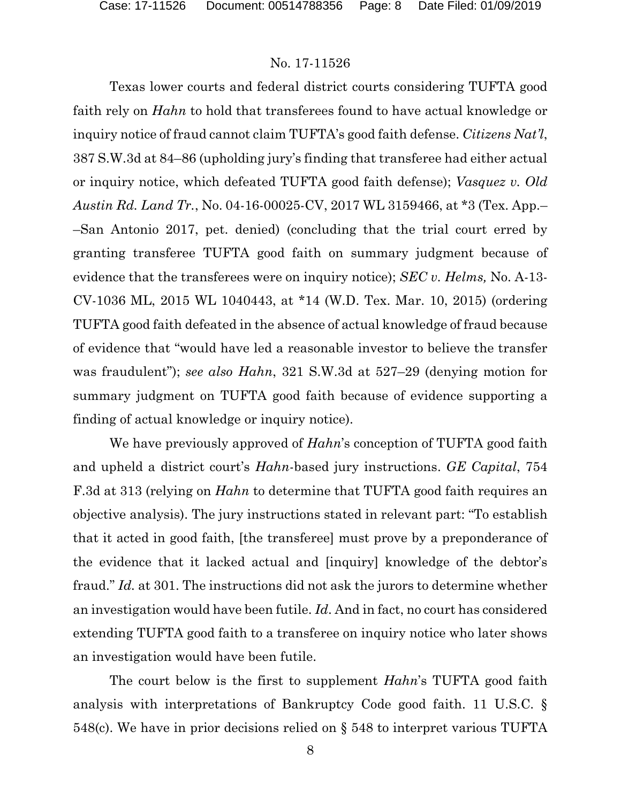Texas lower courts and federal district courts considering TUFTA good faith rely on *Hahn* to hold that transferees found to have actual knowledge or inquiry notice of fraud cannot claim TUFTA's good faith defense. *Citizens Nat'l*, 387 S.W.3d at 84–86 (upholding jury's finding that transferee had either actual or inquiry notice, which defeated TUFTA good faith defense); *Vasquez v. Old Austin Rd. Land Tr.*, No. 04-16-00025-CV, 2017 WL 3159466, at \*3 (Tex. App.– –San Antonio 2017, pet. denied) (concluding that the trial court erred by granting transferee TUFTA good faith on summary judgment because of evidence that the transferees were on inquiry notice); *SEC v. Helms,* No. A-13- CV-1036 ML, 2015 WL 1040443, at \*14 (W.D. Tex. Mar. 10, 2015) (ordering TUFTA good faith defeated in the absence of actual knowledge of fraud because of evidence that "would have led a reasonable investor to believe the transfer was fraudulent"); *see also Hahn*, 321 S.W.3d at 527–29 (denying motion for summary judgment on TUFTA good faith because of evidence supporting a finding of actual knowledge or inquiry notice).

We have previously approved of *Hahn*'s conception of TUFTA good faith and upheld a district court's *Hahn*-based jury instructions. *GE Capital*, 754 F.3d at 313 (relying on *Hahn* to determine that TUFTA good faith requires an objective analysis). The jury instructions stated in relevant part: "To establish that it acted in good faith, [the transferee] must prove by a preponderance of the evidence that it lacked actual and [inquiry] knowledge of the debtor's fraud." *Id.* at 301. The instructions did not ask the jurors to determine whether an investigation would have been futile. *Id*. And in fact, no court has considered extending TUFTA good faith to a transferee on inquiry notice who later shows an investigation would have been futile.

The court below is the first to supplement *Hahn*'s TUFTA good faith analysis with interpretations of Bankruptcy Code good faith. 11 U.S.C. § 548(c). We have in prior decisions relied on § 548 to interpret various TUFTA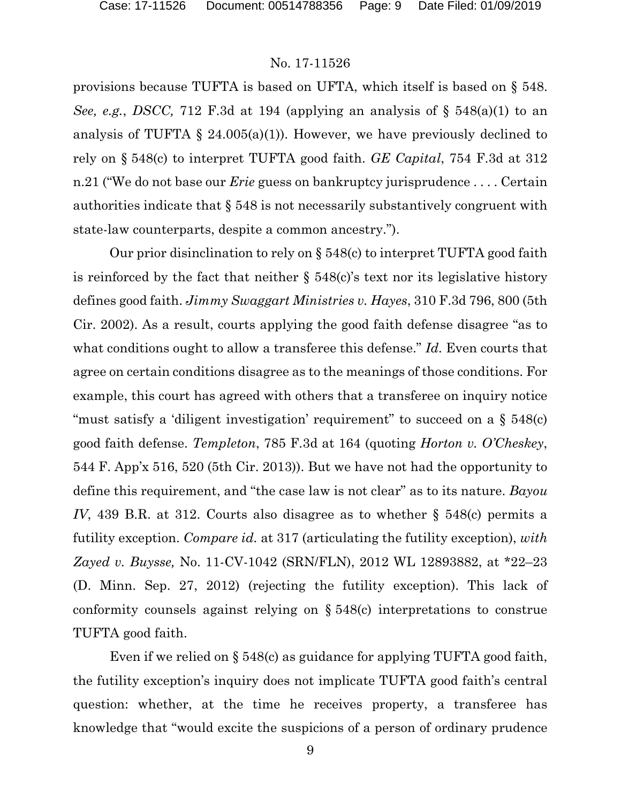provisions because TUFTA is based on UFTA, which itself is based on § 548. *See, e.g.*, *DSCC,* 712 F.3d at 194 (applying an analysis of § 548(a)(1) to an analysis of TUFTA  $\S$  24.005(a)(1)). However, we have previously declined to rely on § 548(c) to interpret TUFTA good faith. *GE Capital*, 754 F.3d at 312 n.21 ("We do not base our *Erie* guess on bankruptcy jurisprudence . . . . Certain authorities indicate that § 548 is not necessarily substantively congruent with state-law counterparts, despite a common ancestry.").

Our prior disinclination to rely on § 548(c) to interpret TUFTA good faith is reinforced by the fact that neither  $\S$  548(c)'s text nor its legislative history defines good faith. *Jimmy Swaggart Ministries v. Hayes*, 310 F.3d 796, 800 (5th Cir. 2002). As a result, courts applying the good faith defense disagree "as to what conditions ought to allow a transferee this defense." *Id.* Even courts that agree on certain conditions disagree as to the meanings of those conditions. For example, this court has agreed with others that a transferee on inquiry notice "must satisfy a 'diligent investigation' requirement" to succeed on a  $\S$  548(c) good faith defense. *Templeton*, 785 F.3d at 164 (quoting *Horton v. O'Cheskey*, 544 F. App'x 516, 520 (5th Cir. 2013)). But we have not had the opportunity to define this requirement, and "the case law is not clear" as to its nature. *Bayou IV*, 439 B.R. at 312. Courts also disagree as to whether § 548(c) permits a futility exception. *Compare id.* at 317 (articulating the futility exception), *with Zayed v. Buysse,* No. 11-CV-1042 (SRN/FLN), 2012 WL 12893882, at \*22–23 (D. Minn. Sep. 27, 2012) (rejecting the futility exception). This lack of conformity counsels against relying on § 548(c) interpretations to construe TUFTA good faith.

Even if we relied on § 548(c) as guidance for applying TUFTA good faith, the futility exception's inquiry does not implicate TUFTA good faith's central question: whether, at the time he receives property, a transferee has knowledge that "would excite the suspicions of a person of ordinary prudence